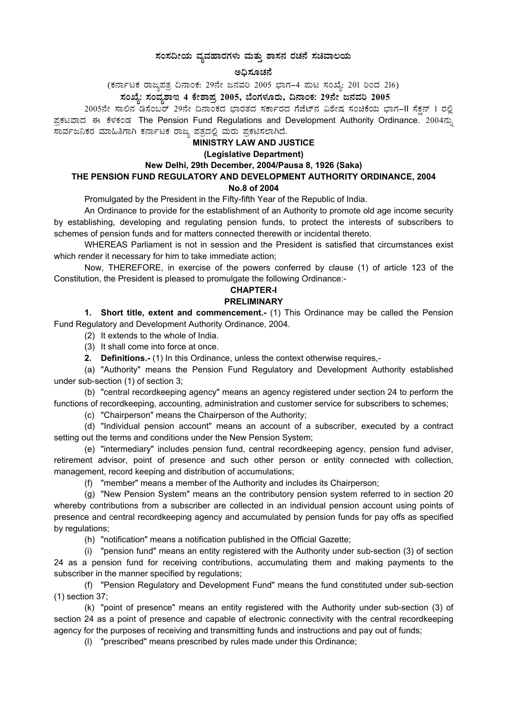#### $\,$ ಸಂಸದೀಯ ವ್ಯವಹಾರಗಳು ಮತ್ತು ಶಾಸನ ರಚನೆ ಸಚಿವಾಲಯ

#### ಅಧಿಸೂಚನೆ

(ಕರ್ನಾಟಕ ರಾಜ್ಯಪತ್ರ ದಿನಾಂಕ: 29ನೇ ಜನವರಿ 2005 ಭಾಗ–4 ಮಟ ಸಂಖ್ಯೆ: 201 ರಿಂದ 216)

 $\bar{x}$ ಎಖ್ಯೆ: ಸಂವ್ಯಶಾಇ 4 ಕೇಶಾಪ್ರ 2005, ಬೆಂಗಳೂರು, ದಿನಾಂಕ: 29ನೇ ಜನವರಿ 2005

2005ನೇ ಸಾಲಿನ ಡಿಸೆಂಬರ್ 29ನೇ ದಿನಾಂಕದ ಭಾರತದ ಸರ್ಕಾರದ ಗೆಜೆಟ್ನ ವಿಶೇಷ ಸಂಚಿಕೆಯ ಭಾಗ–II ಸೆಕ್ಷನ್ 1 ರಲ್ಲಿ ಪ್ರಕಟವಾದ ಈ ಕೆಳಕಂಡ The Pension Fund Regulations and Development Authority Ordinance. 2004ನ್ನು ಸಾರ್ವಜನಿಕರ ಮಾಹಿತಿಗಾಗಿ ಕರ್ನಾಟಕ ರಾಜ್ಯ ಪತ್ರದಲ್ಲಿ ಮರು ಪ್ರಕಟಿಸಲಾಗಿದೆ.

#### **MINISTRY LAW AND JUSTICE**

#### **(Legislative Department)**

# **New Delhi, 29th December, 2004/Pausa 8, 1926 (Saka) THE PENSION FUND REGULATORY AND DEVELOPMENT AUTHORITY ORDINANCE, 2004 No.8 of 2004**

Promulgated by the President in the Fifty-fifth Year of the Republic of India.

An Ordinance to provide for the establishment of an Authority to promote old age income security by establishing, developing and regulating pension funds, to protect the interests of subscribers to schemes of pension funds and for matters connected therewith or incidental thereto.

WHEREAS Parliament is not in session and the President is satisfied that circumstances exist which render it necessary for him to take immediate action;

Now, THEREFORE, in exercise of the powers conferred by clause (1) of article 123 of the Constitution, the President is pleased to promulgate the following Ordinance:-

# **CHAPTER-I**

# **PRELIMINARY**

**1. Short title, extent and commencement.-** (1) This Ordinance may be called the Pension Fund Regulatory and Development Authority Ordinance, 2004.

(2) It extends to the whole of India.

(3) It shall come into force at once.

**2. Definitions.-** (1) In this Ordinance, unless the context otherwise requires,-

(a) "Authority" means the Pension Fund Regulatory and Development Authority established under sub-section (1) of section 3;

(b) "central recordkeeping agency" means an agency registered under section 24 to perform the functions of recordkeeping, accounting, administration and customer service for subscribers to schemes;

(c) "Chairperson" means the Chairperson of the Authority;

(d) "Individual pension account" means an account of a subscriber, executed by a contract setting out the terms and conditions under the New Pension System;

(e) "intermediary" includes pension fund, central recordkeeping agency, pension fund adviser, retirement advisor, point of presence and such other person or entity connected with collection, management, record keeping and distribution of accumulations;

(f) "member" means a member of the Authority and includes its Chairperson;

(g) "New Pension System" means an the contributory pension system referred to in section 20 whereby contributions from a subscriber are collected in an individual pension account using points of presence and central recordkeeping agency and accumulated by pension funds for pay offs as specified by regulations;

(h) "notification" means a notification published in the Official Gazette;

(i) "pension fund" means an entity registered with the Authority under sub-section (3) of section 24 as a pension fund for receiving contributions, accumulating them and making payments to the subscriber in the manner specified by regulations;

(f) "Pension Regulatory and Development Fund" means the fund constituted under sub-section (1) section 37;

(k) "point of presence" means an entity registered with the Authority under sub-section (3) of section 24 as a point of presence and capable of electronic connectivity with the central recordkeeping agency for the purposes of receiving and transmitting funds and instructions and pay out of funds;

(l) "prescribed" means prescribed by rules made under this Ordinance;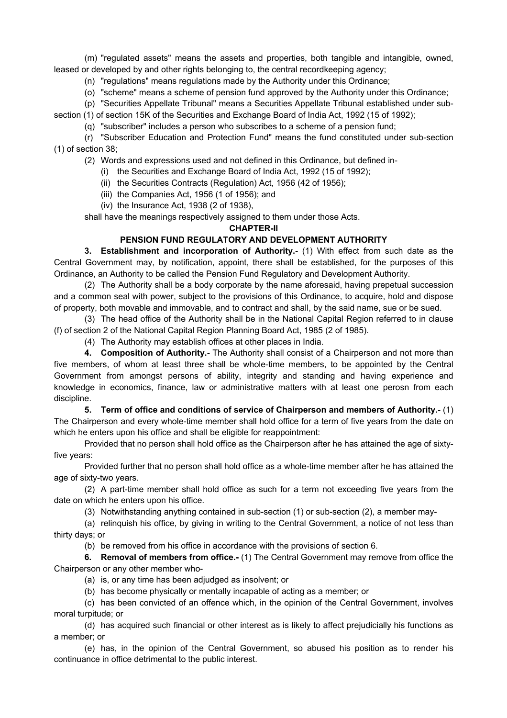(m) "regulated assets" means the assets and properties, both tangible and intangible, owned, leased or developed by and other rights belonging to, the central recordkeeping agency;

(n) "regulations" means regulations made by the Authority under this Ordinance;

(o) "scheme" means a scheme of pension fund approved by the Authority under this Ordinance;

(p) "Securities Appellate Tribunal" means a Securities Appellate Tribunal established under sub-

section (1) of section 15K of the Securities and Exchange Board of India Act, 1992 (15 of 1992);

(q) "subscriber" includes a person who subscribes to a scheme of a pension fund;

(r) "Subscriber Education and Protection Fund" means the fund constituted under sub-section (1) of section 38;

(2) Words and expressions used and not defined in this Ordinance, but defined in-

- (i) the Securities and Exchange Board of India Act, 1992 (15 of 1992);
- (ii) the Securities Contracts (Regulation) Act, 1956 (42 of 1956);

(iii) the Companies Act, 1956 (1 of 1956); and

(iv) the Insurance Act, 1938 (2 of 1938),

shall have the meanings respectively assigned to them under those Acts.

# **CHAPTER-II**

# **PENSION FUND REGULATORY AND DEVELOPMENT AUTHORITY**

**3. Establishment and incorporation of Authority.-** (1) With effect from such date as the Central Government may, by notification, appoint, there shall be established, for the purposes of this Ordinance, an Authority to be called the Pension Fund Regulatory and Development Authority.

(2) The Authority shall be a body corporate by the name aforesaid, having prepetual succession and a common seal with power, subject to the provisions of this Ordinance, to acquire, hold and dispose of property, both movable and immovable, and to contract and shall, by the said name, sue or be sued.

(3) The head office of the Authority shall be in the National Capital Region referred to in clause (f) of section 2 of the National Capital Region Planning Board Act, 1985 (2 of 1985).

(4) The Authority may establish offices at other places in India.

**4. Composition of Authority.-** The Authority shall consist of a Chairperson and not more than five members, of whom at least three shall be whole-time members, to be appointed by the Central Government from amongst persons of ability, integrity and standing and having experience and knowledge in economics, finance, law or administrative matters with at least one perosn from each discipline.

**5. Term of office and conditions of service of Chairperson and members of Authority.-** (1) The Chairperson and every whole-time member shall hold office for a term of five years from the date on which he enters upon his office and shall be eligible for reappointment:

Provided that no person shall hold office as the Chairperson after he has attained the age of sixtyfive years:

Provided further that no person shall hold office as a whole-time member after he has attained the age of sixty-two years.

(2) A part-time member shall hold office as such for a term not exceeding five years from the date on which he enters upon his office.

(3) Notwithstanding anything contained in sub-section (1) or sub-section (2), a member may-

(a) relinquish his office, by giving in writing to the Central Government, a notice of not less than thirty days; or

(b) be removed from his office in accordance with the provisions of section 6.

**6. Removal of members from office.-** (1) The Central Government may remove from office the Chairperson or any other member who-

- (a) is, or any time has been adjudged as insolvent; or
- (b) has become physically or mentally incapable of acting as a member; or

(c) has been convicted of an offence which, in the opinion of the Central Government, involves moral turpitude; or

(d) has acquired such financial or other interest as is likely to affect prejudicially his functions as a member; or

(e) has, in the opinion of the Central Government, so abused his position as to render his continuance in office detrimental to the public interest.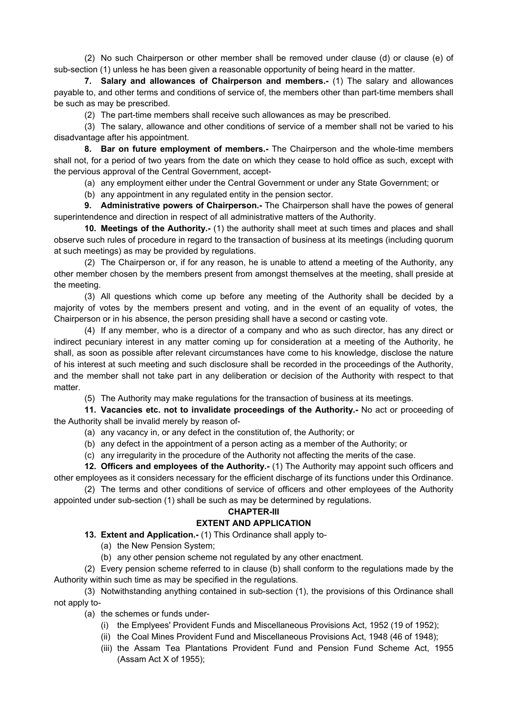(2) No such Chairperson or other member shall be removed under clause (d) or clause (e) of sub-section (1) unless he has been given a reasonable opportunity of being heard in the matter.

**7. Salary and allowances of Chairperson and members.-** (1) The salary and allowances payable to, and other terms and conditions of service of, the members other than part-time members shall be such as may be prescribed.

(2) The part-time members shall receive such allowances as may be prescribed.

(3) The salary, allowance and other conditions of service of a member shall not be varied to his disadvantage after his appointment.

**8. Bar on future employment of members.-** The Chairperson and the whole-time members shall not, for a period of two years from the date on which they cease to hold office as such, except with the pervious approval of the Central Government, accept-

(a) any employment either under the Central Government or under any State Government; or

(b) any appointment in any regulated entity in the pension sector.

**9. Administrative powers of Chairperson.-** The Chairperson shall have the powes of general superintendence and direction in respect of all administrative matters of the Authority.

**10. Meetings of the Authority.-** (1) the authority shall meet at such times and places and shall observe such rules of procedure in regard to the transaction of business at its meetings (including quorum at such meetings) as may be provided by regulations.

(2) The Chairperson or, if for any reason, he is unable to attend a meeting of the Authority, any other member chosen by the members present from amongst themselves at the meeting, shall preside at the meeting.

(3) All questions which come up before any meeting of the Authority shall be decided by a majority of votes by the members present and voting, and in the event of an equality of votes, the Chairperson or in his absence, the person presiding shall have a second or casting vote.

(4) If any member, who is a director of a company and who as such director, has any direct or indirect pecuniary interest in any matter coming up for consideration at a meeting of the Authority, he shall, as soon as possible after relevant circumstances have come to his knowledge, disclose the nature of his interest at such meeting and such disclosure shall be recorded in the proceedings of the Authority, and the member shall not take part in any deliberation or decision of the Authority with respect to that matter.

(5) The Authority may make regulations for the transaction of business at its meetings.

**11. Vacancies etc. not to invalidate proceedings of the Authority.-** No act or proceeding of the Authority shall be invalid merely by reason of-

(a) any vacancy in, or any defect in the constitution of, the Authority; or

(b) any defect in the appointment of a person acting as a member of the Authority; or

(c) any irregularity in the procedure of the Authority not affecting the merits of the case.

**12. Officers and employees of the Authority.-** (1) The Authority may appoint such officers and other employees as it considers necessary for the efficient discharge of its functions under this Ordinance.

(2) The terms and other conditions of service of officers and other employees of the Authority appointed under sub-section (1) shall be such as may be determined by regulations.

#### **CHAPTER-III**

# **EXTENT AND APPLICATION**

**13. Extent and Application.-** (1) This Ordinance shall apply to-

(a) the New Pension System;

(b) any other pension scheme not regulated by any other enactment.

(2) Every pension scheme referred to in clause (b) shall conform to the regulations made by the Authority within such time as may be specified in the regulations.

(3) Notwithstanding anything contained in sub-section (1), the provisions of this Ordinance shall not apply to-

(a) the schemes or funds under-

- (i) the Emplyees' Provident Funds and Miscellaneous Provisions Act, 1952 (19 of 1952);
- (ii) the Coal Mines Provident Fund and Miscellaneous Provisions Act, 1948 (46 of 1948);
- (iii) the Assam Tea Plantations Provident Fund and Pension Fund Scheme Act, 1955 (Assam Act X of 1955);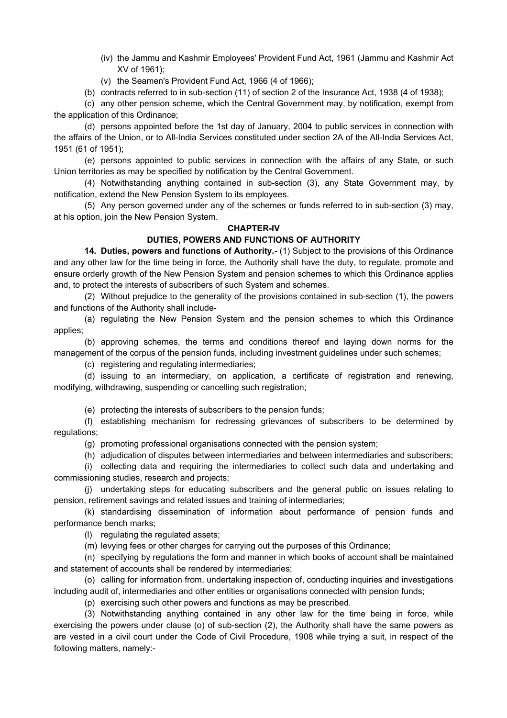- (iv) the Jammu and Kashmir Employees' Provident Fund Act, 1961 (Jammu and Kashmir Act XV of 1961);
- (v) the Seamen's Provident Fund Act, 1966 (4 of 1966);
- (b) contracts referred to in sub-section (11) of section 2 of the Insurance Act, 1938 (4 of 1938);

(c) any other pension scheme, which the Central Government may, by notification, exempt from the application of this Ordinance;

(d) persons appointed before the 1st day of January, 2004 to public services in connection with the affairs of the Union, or to All-India Services constituted under section 2A of the All-India Services Act, 1951 (61 of 1951);

(e) persons appointed to public services in connection with the affairs of any State, or such Union territories as may be specified by notification by the Central Government.

(4) Notwithstanding anything contained in sub-section (3), any State Government may, by notification, extend the New Pension System to its employees.

(5) Any person governed under any of the schemes or funds referred to in sub-section (3) may, at his option, join the New Pension System.

# **CHAPTER-IV**

# **DUTIES, POWERS AND FUNCTIONS OF AUTHORITY**

**14. Duties, powers and functions of Authority.-** (1) Subject to the provisions of this Ordinance and any other law for the time being in force, the Authority shall have the duty, to regulate, promote and ensure orderly growth of the New Pension System and pension schemes to which this Ordinance applies and, to protect the interests of subscribers of such System and schemes.

(2) Without prejudice to the generality of the provisions contained in sub-section (1), the powers and functions of the Authority shall include-

(a) regulating the New Pension System and the pension schemes to which this Ordinance applies;

(b) approving schemes, the terms and conditions thereof and laying down norms for the management of the corpus of the pension funds, including investment guidelines under such schemes;

(c) registering and regulating intermediaries;

(d) issuing to an intermediary, on application, a certificate of registration and renewing, modifying, withdrawing, suspending or cancelling such registration;

(e) protecting the interests of subscribers to the pension funds;

(f) establishing mechanism for redressing grievances of subscribers to be determined by regulations;

(g) promoting professional organisations connected with the pension system;

(h) adjudication of disputes between intermediaries and between intermediaries and subscribers;

(i) collecting data and requiring the intermediaries to collect such data and undertaking and commissioning studies, research and projects;

(j) undertaking steps for educating subscribers and the general public on issues relating to pension, retirement savings and related issues and training of intermediaries;

(k) standardising dissemination of information about performance of pension funds and performance bench marks;

(l) regulating the regulated assets;

(m) levying fees or other charges for carrying out the purposes of this Ordinance;

(n) specifying by regulations the form and manner in which books of account shall be maintained and statement of accounts shall be rendered by intermediaries;

(o) calling for information from, undertaking inspection of, conducting inquiries and investigations including audit of, intermediaries and other entities or organisations connected with pension funds;

(p) exercising such other powers and functions as may be prescribed.

(3) Notwithstanding anything contained in any other law for the time being in force, while exercising the powers under clause (o) of sub-section (2), the Authority shall have the same powers as are vested in a civil court under the Code of Civil Procedure, 1908 while trying a suit, in respect of the following matters, namely:-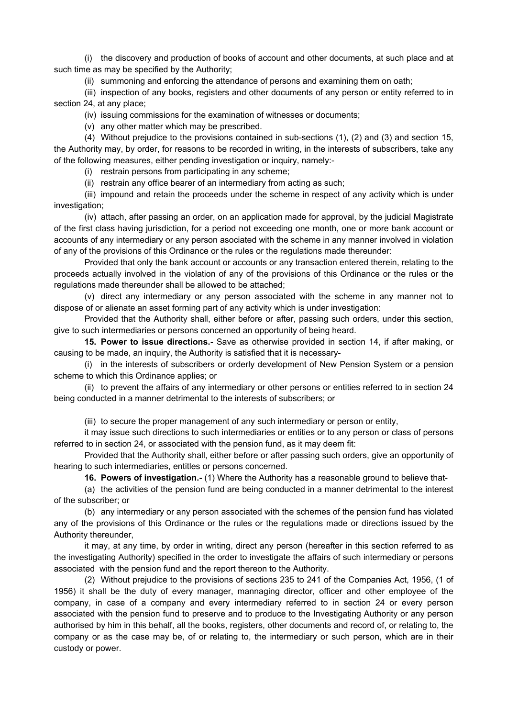(i) the discovery and production of books of account and other documents, at such place and at such time as may be specified by the Authority;

(ii) summoning and enforcing the attendance of persons and examining them on oath;

(iii) inspection of any books, registers and other documents of any person or entity referred to in section 24, at any place;

(iv) issuing commissions for the examination of witnesses or documents;

(v) any other matter which may be prescribed.

(4) Without prejudice to the provisions contained in sub-sections (1), (2) and (3) and section 15, the Authority may, by order, for reasons to be recorded in writing, in the interests of subscribers, take any of the following measures, either pending investigation or inquiry, namely:-

(i) restrain persons from participating in any scheme;

(ii) restrain any office bearer of an intermediary from acting as such;

(iii) impound and retain the proceeds under the scheme in respect of any activity which is under investigation;

(iv) attach, after passing an order, on an application made for approval, by the judicial Magistrate of the first class having jurisdiction, for a period not exceeding one month, one or more bank account or accounts of any intermediary or any person asociated with the scheme in any manner involved in violation of any of the provisions of this Ordinance or the rules or the regulations made thereunder:

Provided that only the bank account or accounts or any transaction entered therein, relating to the proceeds actually involved in the violation of any of the provisions of this Ordinance or the rules or the regulations made thereunder shall be allowed to be attached;

(v) direct any intermediary or any person associated with the scheme in any manner not to dispose of or alienate an asset forming part of any activity which is under investigation:

Provided that the Authority shall, either before or after, passing such orders, under this section, give to such intermediaries or persons concerned an opportunity of being heard.

**15. Power to issue directions.-** Save as otherwise provided in section 14, if after making, or causing to be made, an inquiry, the Authority is satisfied that it is necessary-

(i) in the interests of subscribers or orderly development of New Pension System or a pension scheme to which this Ordinance applies; or

(ii) to prevent the affairs of any intermediary or other persons or entities referred to in section 24 being conducted in a manner detrimental to the interests of subscribers; or

(iii) to secure the proper management of any such intermediary or person or entity,

it may issue such directions to such intermediaries or entities or to any person or class of persons referred to in section 24, or associated with the pension fund, as it may deem fit:

Provided that the Authority shall, either before or after passing such orders, give an opportunity of hearing to such intermediaries, entitles or persons concerned.

**16. Powers of investigation.-** (1) Where the Authority has a reasonable ground to believe that-

(a) the activities of the pension fund are being conducted in a manner detrimental to the interest of the subscriber; or

(b) any intermediary or any person associated with the schemes of the pension fund has violated any of the provisions of this Ordinance or the rules or the regulations made or directions issued by the Authority thereunder,

it may, at any time, by order in writing, direct any person (hereafter in this section referred to as the investigating Authority) specified in the order to investigate the affairs of such intermediary or persons associated with the pension fund and the report thereon to the Authority.

(2) Without prejudice to the provisions of sections 235 to 241 of the Companies Act, 1956, (1 of 1956) it shall be the duty of every manager, mannaging director, officer and other employee of the company, in case of a company and every intermediary referred to in section 24 or every person associated with the pension fund to preserve and to produce to the Investigating Authority or any person authorised by him in this behalf, all the books, registers, other documents and record of, or relating to, the company or as the case may be, of or relating to, the intermediary or such person, which are in their custody or power.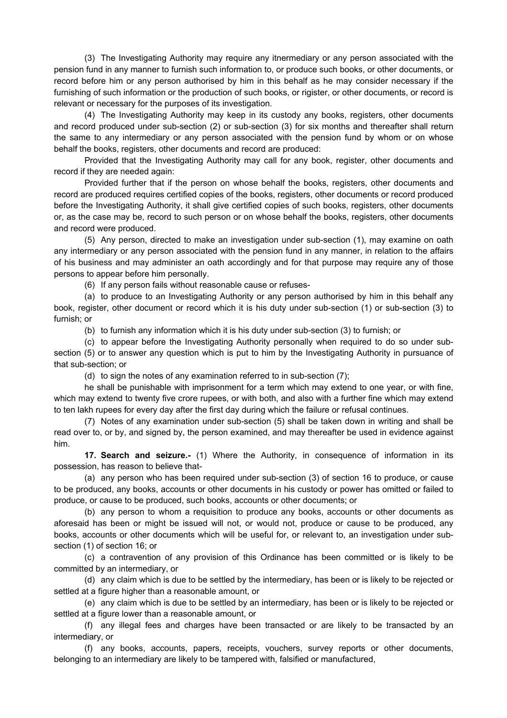(3) The Investigating Authority may require any itnermediary or any person associated with the pension fund in any manner to furnish such information to, or produce such books, or other documents, or record before him or any person authorised by him in this behalf as he may consider necessary if the furnishing of such information or the production of such books, or rigister, or other documents, or record is relevant or necessary for the purposes of its investigation.

(4) The Investigating Authority may keep in its custody any books, registers, other documents and record produced under sub-section (2) or sub-section (3) for six months and thereafter shall return the same to any intermediary or any person associated with the pension fund by whom or on whose behalf the books, registers, other documents and record are produced:

Provided that the Investigating Authority may call for any book, register, other documents and record if they are needed again:

Provided further that if the person on whose behalf the books, registers, other documents and record are produced requires certified copies of the books, registers, other documents or record produced before the Investigating Authority, it shall give certified copies of such books, registers, other documents or, as the case may be, record to such person or on whose behalf the books, registers, other documents and record were produced.

(5) Any person, directed to make an investigation under sub-section (1), may examine on oath any intermediary or any person associated with the pension fund in any manner, in relation to the affairs of his business and may administer an oath accordingly and for that purpose may require any of those persons to appear before him personally.

(6) If any person fails without reasonable cause or refuses-

(a) to produce to an Investigating Authority or any person authorised by him in this behalf any book, register, other document or record which it is his duty under sub-section (1) or sub-section (3) to furnish; or

(b) to furnish any information which it is his duty under sub-section (3) to furnish; or

(c) to appear before the Investigating Authority personally when required to do so under subsection (5) or to answer any question which is put to him by the Investigating Authority in pursuance of that sub-section; or

(d) to sign the notes of any examination referred to in sub-section (7);

he shall be punishable with imprisonment for a term which may extend to one year, or with fine, which may extend to twenty five crore rupees, or with both, and also with a further fine which may extend to ten lakh rupees for every day after the first day during which the failure or refusal continues.

(7) Notes of any examination under sub-section (5) shall be taken down in writing and shall be read over to, or by, and signed by, the person examined, and may thereafter be used in evidence against him.

**17. Search and seizure.-** (1) Where the Authority, in consequence of information in its possession, has reason to believe that-

(a) any person who has been required under sub-section (3) of section 16 to produce, or cause to be produced, any books, accounts or other documents in his custody or power has omitted or failed to produce, or cause to be produced, such books, accounts or other documents; or

(b) any person to whom a requisition to produce any books, accounts or other documents as aforesaid has been or might be issued will not, or would not, produce or cause to be produced, any books, accounts or other documents which will be useful for, or relevant to, an investigation under subsection (1) of section 16; or

(c) a contravention of any provision of this Ordinance has been committed or is likely to be committed by an intermediary, or

(d) any claim which is due to be settled by the intermediary, has been or is likely to be rejected or settled at a figure higher than a reasonable amount, or

(e) any claim which is due to be settled by an intermediary, has been or is likely to be rejected or settled at a figure lower than a reasonable amount, or

(f) any illegal fees and charges have been transacted or are likely to be transacted by an intermediary, or

(f) any books, accounts, papers, receipts, vouchers, survey reports or other documents, belonging to an intermediary are likely to be tampered with, falsified or manufactured,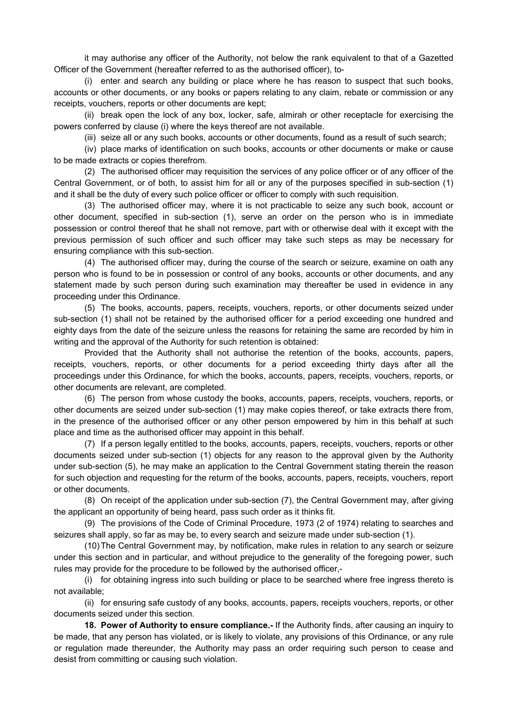it may authorise any officer of the Authority, not below the rank equivalent to that of a Gazetted Officer of the Government (hereafter referred to as the authorised officer), to-

(i) enter and search any building or place where he has reason to suspect that such books, accounts or other documents, or any books or papers relating to any claim, rebate or commission or any receipts, vouchers, reports or other documents are kept;

(ii) break open the lock of any box, locker, safe, almirah or other receptacle for exercising the powers conferred by clause (i) where the keys thereof are not available.

(iii) seize all or any such books, accounts or other documents, found as a result of such search;

(iv) place marks of identification on such books, accounts or other documents or make or cause to be made extracts or copies therefrom.

(2) The authorised officer may requisition the services of any police officer or of any officer of the Central Government, or of both, to assist him for all or any of the purposes specified in sub-section (1) and it shall be the duty of every such police officer or officer to comply with such requisition.

(3) The authorised officer may, where it is not practicable to seize any such book, account or other document, specified in sub-section (1), serve an order on the person who is in immediate possession or control thereof that he shall not remove, part with or otherwise deal with it except with the previous permission of such officer and such officer may take such steps as may be necessary for ensuring compliance with this sub-section.

(4) The authorised officer may, during the course of the search or seizure, examine on oath any person who is found to be in possession or control of any books, accounts or other documents, and any statement made by such person during such examination may thereafter be used in evidence in any proceeding under this Ordinance.

(5) The books, accounts, papers, receipts, vouchers, reports, or other documents seized under sub-section (1) shall not be retained by the authorised officer for a period exceeding one hundred and eighty days from the date of the seizure unless the reasons for retaining the same are recorded by him in writing and the approval of the Authority for such retention is obtained:

Provided that the Authority shall not authorise the retention of the books, accounts, papers, receipts, vouchers, reports, or other documents for a period exceeding thirty days after all the proceedings under this Ordinance, for which the books, accounts, papers, receipts, vouchers, reports, or other documents are relevant, are completed.

(6) The person from whose custody the books, accounts, papers, receipts, vouchers, reports, or other documents are seized under sub-section (1) may make copies thereof, or take extracts there from, in the presence of the authorised officer or any other person empowered by him in this behalf at such place and time as the authorised officer may appoint in this behalf.

(7) If a person legally entitled to the books, accounts, papers, receipts, vouchers, reports or other documents seized under sub-section (1) objects for any reason to the approval given by the Authority under sub-section (5), he may make an application to the Central Government stating therein the reason for such objection and requesting for the returm of the books, accounts, papers, receipts, vouchers, report or other documents.

(8) On receipt of the application under sub-section (7), the Central Government may, after giving the applicant an opportunity of being heard, pass such order as it thinks fit.

(9) The provisions of the Code of Criminal Procedure, 1973 (2 of 1974) relating to searches and seizures shall apply, so far as may be, to every search and seizure made under sub-section (1).

(10) The Central Government may, by notification, make rules in relation to any search or seizure under this section and in particular, and without prejudice to the generality of the foregoing power, such rules may provide for the procedure to be followed by the authorised officer,-

(i) for obtaining ingress into such building or place to be searched where free ingress thereto is not available;

(ii) for ensuring safe custody of any books, accounts, papers, receipts vouchers, reports, or other documents seized under this section.

**18. Power of Authority to ensure compliance.-** If the Authority finds, after causing an inquiry to be made, that any person has violated, or is likely to violate, any provisions of this Ordinance, or any rule or regulation made thereunder, the Authority may pass an order requiring such person to cease and desist from committing or causing such violation.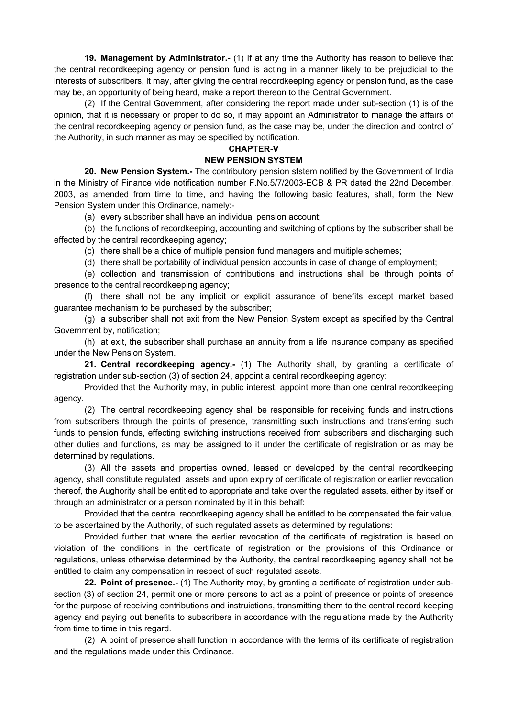**19. Management by Administrator.-** (1) If at any time the Authority has reason to believe that the central recordkeeping agency or pension fund is acting in a manner likely to be prejudicial to the interests of subscribers, it may, after giving the central recordkeeping agency or pension fund, as the case may be, an opportunity of being heard, make a report thereon to the Central Government.

(2) If the Central Government, after considering the report made under sub-section (1) is of the opinion, that it is necessary or proper to do so, it may appoint an Administrator to manage the affairs of the central recordkeeping agency or pension fund, as the case may be, under the direction and control of the Authority, in such manner as may be specified by notification.

# **CHAPTER-V**

### **NEW PENSION SYSTEM**

**20. New Pension System.-** The contributory pension ststem notified by the Government of India in the Ministry of Finance vide notification number F.No.5/7/2003-ECB & PR dated the 22nd December, 2003, as amended from time to time, and having the following basic features, shall, form the New Pension System under this Ordinance, namely:-

(a) every subscriber shall have an individual pension account;

(b) the functions of recordkeeping, accounting and switching of options by the subscriber shall be effected by the central recordkeeping agency;

(c) there shall be a chice of multiple pension fund managers and muitiple schemes;

(d) there shall be portability of individual pension accounts in case of change of employment;

(e) collection and transmission of contributions and instructions shall be through points of presence to the central recordkeeping agency;

(f) there shall not be any implicit or explicit assurance of benefits except market based guarantee mechanism to be purchased by the subscriber;

(g) a subscriber shall not exit from the New Pension System except as specified by the Central Government by, notification;

(h) at exit, the subscriber shall purchase an annuity from a life insurance company as specified under the New Pension System.

**21. Central recordkeeping agency.-** (1) The Authority shall, by granting a certificate of registration under sub-section (3) of section 24, appoint a central recordkeeping agency:

Provided that the Authority may, in public interest, appoint more than one central recordkeeping agency.

(2) The central recordkeeping agency shall be responsible for receiving funds and instructions from subscribers through the points of presence, transmitting such instructions and transferring such funds to pension funds, effecting switching instructions received from subscribers and discharging such other duties and functions, as may be assigned to it under the certificate of registration or as may be determined by regulations.

(3) All the assets and properties owned, leased or developed by the central recordkeeping agency, shall constitute regulated assets and upon expiry of certificate of registration or earlier revocation thereof, the Aughority shall be entitled to appropriate and take over the regulated assets, either by itself or through an administrator or a person nominated by it in this behalf:

Provided that the central recordkeeping agency shall be entitled to be compensated the fair value, to be ascertained by the Authority, of such regulated assets as determined by regulations:

Provided further that where the earlier revocation of the certificate of registration is based on violation of the conditions in the certificate of registration or the provisions of this Ordinance or regulations, unless otherwise determined by the Authority, the central recordkeeping agency shall not be entitled to claim any compensation in respect of such regulated assets.

**22. Point of presence.-** (1) The Authority may, by granting a certificate of registration under subsection (3) of section 24, permit one or more persons to act as a point of presence or points of presence for the purpose of receiving contributions and instruictions, transmitting them to the central record keeping agency and paying out benefits to subscribers in accordance with the regulations made by the Authority from time to time in this regard.

(2) A point of presence shall function in accordance with the terms of its certificate of registration and the regulations made under this Ordinance.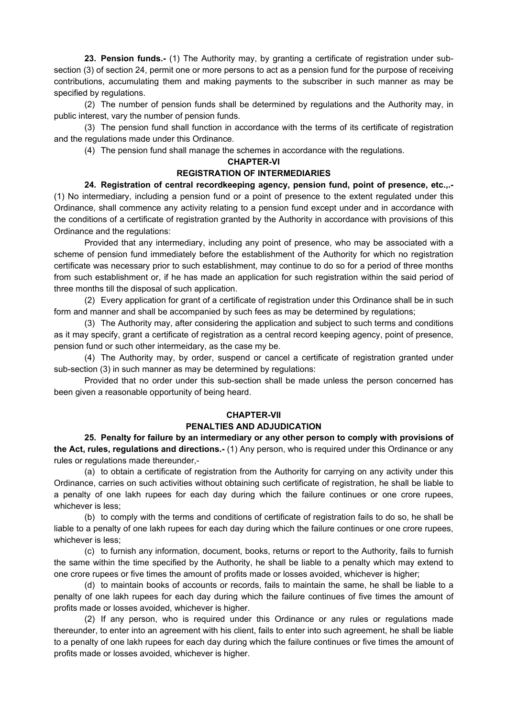**23. Pension funds.-** (1) The Authority may, by granting a certificate of registration under subsection (3) of section 24, permit one or more persons to act as a pension fund for the purpose of receiving contributions, accumulating them and making payments to the subscriber in such manner as may be specified by regulations.

(2) The number of pension funds shall be determined by regulations and the Authority may, in public interest, vary the number of pension funds.

(3) The pension fund shall function in accordance with the terms of its certificate of registration and the regulations made under this Ordinance.

(4) The pension fund shall manage the schemes in accordance with the regulations.

#### **CHAPTER-VI**

## **REGISTRATION OF INTERMEDIARIES**

**24. Registration of central recordkeeping agency, pension fund, point of presence, etc.,.-** (1) No intermediary, including a pension fund or a point of presence to the extent regulated under this Ordinance, shall commence any activity relating to a pension fund except under and in accordance with the conditions of a certificate of registration granted by the Authority in accordance with provisions of this Ordinance and the regulations:

Provided that any intermediary, including any point of presence, who may be associated with a scheme of pension fund immediately before the establishment of the Authority for which no registration certificate was necessary prior to such establishment, may continue to do so for a period of three months from such establishment or, if he has made an application for such registration within the said period of three months till the disposal of such application.

(2) Every application for grant of a certificate of registration under this Ordinance shall be in such form and manner and shall be accompanied by such fees as may be determined by regulations;

(3) The Authority may, after considering the application and subject to such terms and conditions as it may specify, grant a certificate of registration as a central record keeping agency, point of presence, pension fund or such other intermeidary, as the case my be.

(4) The Authority may, by order, suspend or cancel a certificate of registration granted under sub-section (3) in such manner as may be determined by regulations:

Provided that no order under this sub-section shall be made unless the person concerned has been given a reasonable opportunity of being heard.

#### **CHAPTER-VII**

#### **PENALTIES AND ADJUDICATION**

**25. Penalty for failure by an intermediary or any other person to comply with provisions of the Act, rules, regulations and directions.-** (1) Any person, who is required under this Ordinance or any rules or regulations made thereunder,-

(a) to obtain a certificate of registration from the Authority for carrying on any activity under this Ordinance, carries on such activities without obtaining such certificate of registration, he shall be liable to a penalty of one lakh rupees for each day during which the failure continues or one crore rupees, whichever is less;

(b) to comply with the terms and conditions of certificate of registration fails to do so, he shall be liable to a penalty of one lakh rupees for each day during which the failure continues or one crore rupees, whichever is less;

(c) to furnish any information, document, books, returns or report to the Authority, fails to furnish the same within the time specified by the Authority, he shall be liable to a penalty which may extend to one crore rupees or five times the amount of profits made or losses avoided, whichever is higher;

(d) to maintain books of accounts or records, fails to maintain the same, he shall be liable to a penalty of one lakh rupees for each day during which the failure continues of five times the amount of profits made or losses avoided, whichever is higher.

(2) If any person, who is required under this Ordinance or any rules or regulations made thereunder, to enter into an agreement with his client, fails to enter into such agreement, he shall be liable to a penalty of one lakh rupees for each day during which the failure continues or five times the amount of profits made or losses avoided, whichever is higher.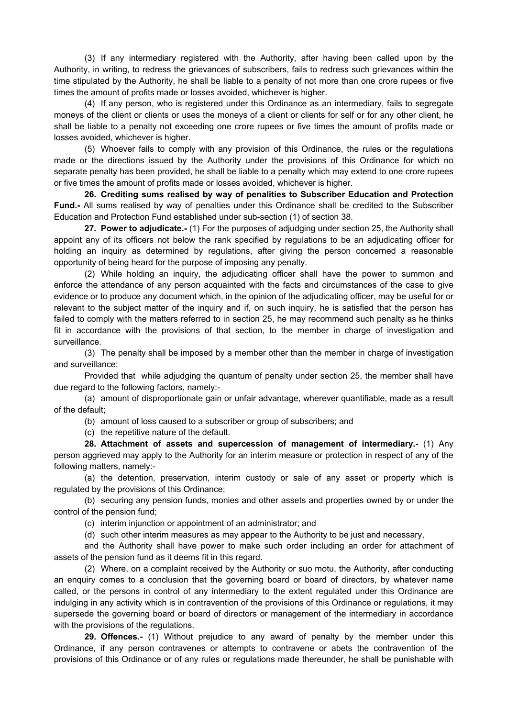(3) If any intermediary registered with the Authority, after having been called upon by the Authority, in writing, to redress the grievances of subscribers, fails to redress such grievances within the time stipulated by the Authority, he shall be liable to a penalty of not more than one crore rupees or five times the amount of profits made or losses avoided, whichever is higher.

(4) If any person, who is registered under this Ordinance as an intermediary, fails to segregate moneys of the client or clients or uses the moneys of a client or clients for self or for any other client, he shall be liable to a penalty not exceeding one crore rupees or five times the amount of profits made or losses avoided, whichever is higher.

(5) Whoever fails to comply with any provision of this Ordinance, the rules or the regulations made or the directions issued by the Authority under the provisions of this Ordinance for which no separate penalty has been provided, he shall be liable to a penalty which may extend to one crore rupees or five times the amount of profits made or losses avoided, whichever is higher.

**26. Crediting sums realised by way of penalities to Subscriber Education and Protection Fund.-** All sums realised by way of penalties under this Ordinance shall be credited to the Subscriber Education and Protection Fund established under sub-section (1) of section 38.

**27. Power to adjudicate.-** (1) For the purposes of adjudging under section 25, the Authority shall appoint any of its officers not below the rank specified by regulations to be an adjudicating officer for holding an inquiry as determined by regulations, after giving the person concerned a reasonable opportunity of being heard for the purpose of imposing any penalty.

(2) While holding an inquiry, the adjudicating officer shall have the power to summon and enforce the attendance of any person acquainted with the facts and circumstances of the case to give evidence or to produce any document which, in the opinion of the adjudicating officer, may be useful for or relevant to the subject matter of the inquiry and if, on such inquiry, he is satisfied that the person has failed to comply with the matters referred to in section 25, he may recommend such penalty as he thinks fit in accordance with the provisions of that section, to the member in charge of investigation and surveillance.

(3) The penalty shall be imposed by a member other than the member in charge of investigation and surveillance:

Provided that while adjudging the quantum of penalty under section 25, the member shall have due regard to the following factors, namely:-

(a) amount of disproportionate gain or unfair advantage, wherever quantifiable, made as a result of the default;

(b) amount of loss caused to a subscriber or group of subscribers; and

(c) the repetitive nature of the default.

**28. Attachment of assets and supercession of management of intermediary.-** (1) Any person aggrieved may apply to the Authority for an interim measure or protection in respect of any of the following matters, namely:-

(a) the detention, preservation, interim custody or sale of any asset or property which is regulated by the provisions of this Ordinance;

(b) securing any pension funds, monies and other assets and properties owned by or under the control of the pension fund;

(c) interim injunction or appointment of an administrator; and

(d) such other interim measures as may appear to the Authority to be just and necessary,

and the Authority shall have power to make such order including an order for attachment of assets of the pension fund as it deems fit in this regard.

(2) Where, on a complaint received by the Authority or suo motu, the Authority, after conducting an enquiry comes to a conclusion that the governing board or board of directors, by whatever name called, or the persons in control of any intermediary to the extent regulated under this Ordinance are indulging in any activity which is in contravention of the provisions of this Ordinance or regulations, it may supersede the governing board or board of directors or management of the intermediary in accordance with the provisions of the regulations.

**29. Offences.-** (1) Without prejudice to any award of penalty by the member under this Ordinance, if any person contravenes or attempts to contravene or abets the contravention of the provisions of this Ordinance or of any rules or regulations made thereunder, he shall be punishable with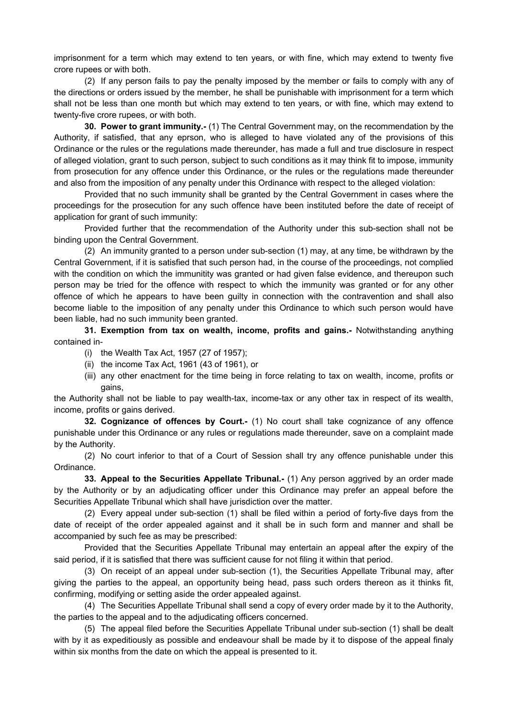imprisonment for a term which may extend to ten years, or with fine, which may extend to twenty five crore rupees or with both.

(2) If any person fails to pay the penalty imposed by the member or fails to comply with any of the directions or orders issued by the member, he shall be punishable with imprisonment for a term which shall not be less than one month but which may extend to ten years, or with fine, which may extend to twenty-five crore rupees, or with both.

**30. Power to grant immunity.-** (1) The Central Government may, on the recommendation by the Authority, if satisfied, that any eprson, who is alleged to have violated any of the provisions of this Ordinance or the rules or the regulations made thereunder, has made a full and true disclosure in respect of alleged violation, grant to such person, subject to such conditions as it may think fit to impose, immunity from prosecution for any offence under this Ordinance, or the rules or the regulations made thereunder and also from the imposition of any penalty under this Ordinance with respect to the alleged violation:

Provided that no such immunity shall be granted by the Central Government in cases where the proceedings for the prosecution for any such offence have been instituted before the date of receipt of application for grant of such immunity:

Provided further that the recommendation of the Authority under this sub-section shall not be binding upon the Central Government.

(2) An immunity granted to a person under sub-section (1) may, at any time, be withdrawn by the Central Government, if it is satisfied that such person had, in the course of the proceedings, not complied with the condition on which the immunitity was granted or had given false evidence, and thereupon such person may be tried for the offence with respect to which the immunity was granted or for any other offence of which he appears to have been guilty in connection with the contravention and shall also become liable to the imposition of any penalty under this Ordinance to which such person would have been liable, had no such immunity been granted.

**31. Exemption from tax on wealth, income, profits and gains.-** Notwithstanding anything contained in-

- (i) the Wealth Tax Act, 1957 (27 of 1957);
- (ii) the income Tax Act, 1961 (43 of 1961), or
- (iii) any other enactment for the time being in force relating to tax on wealth, income, profits or gains,

the Authority shall not be liable to pay wealth-tax, income-tax or any other tax in respect of its wealth, income, profits or gains derived.

**32. Cognizance of offences by Court.-** (1) No court shall take cognizance of any offence punishable under this Ordinance or any rules or regulations made thereunder, save on a complaint made by the Authority.

(2) No court inferior to that of a Court of Session shall try any offence punishable under this Ordinance.

**33. Appeal to the Securities Appellate Tribunal.-** (1) Any person aggrived by an order made by the Authority or by an adjudicating officer under this Ordinance may prefer an appeal before the Securities Appellate Tribunal which shall have jurisdiction over the matter.

(2) Every appeal under sub-section (1) shall be filed within a period of forty-five days from the date of receipt of the order appealed against and it shall be in such form and manner and shall be accompanied by such fee as may be prescribed:

Provided that the Securities Appellate Tribunal may entertain an appeal after the expiry of the said period, if it is satisfied that there was sufficient cause for not filing it within that period.

(3) On receipt of an appeal under sub-section (1), the Securities Appellate Tribunal may, after giving the parties to the appeal, an opportunity being head, pass such orders thereon as it thinks fit, confirming, modifying or setting aside the order appealed against.

(4) The Securities Appellate Tribunal shall send a copy of every order made by it to the Authority, the parties to the appeal and to the adjudicating officers concerned.

(5) The appeal filed before the Securities Appellate Tribunal under sub-section (1) shall be dealt with by it as expeditiously as possible and endeavour shall be made by it to dispose of the appeal finaly within six months from the date on which the appeal is presented to it.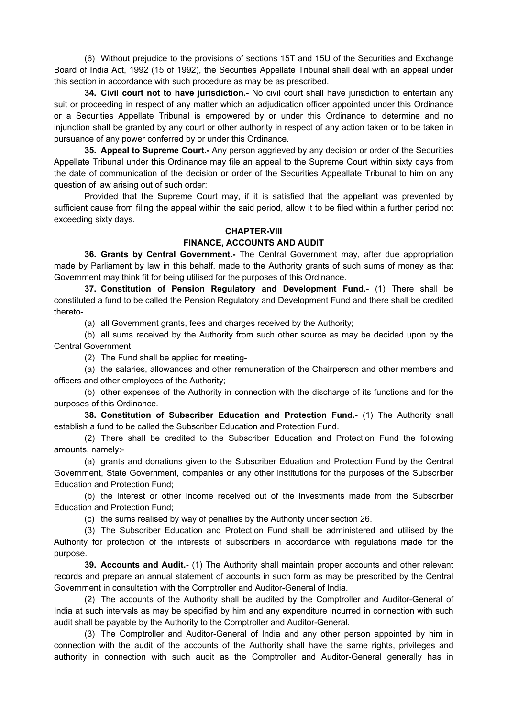(6) Without prejudice to the provisions of sections 15T and 15U of the Securities and Exchange Board of India Act, 1992 (15 of 1992), the Securities Appellate Tribunal shall deal with an appeal under this section in accordance with such procedure as may be as prescribed.

**34. Civil court not to have jurisdiction.-** No civil court shall have jurisdiction to entertain any suit or proceeding in respect of any matter which an adjudication officer appointed under this Ordinance or a Securities Appellate Tribunal is empowered by or under this Ordinance to determine and no injunction shall be granted by any court or other authority in respect of any action taken or to be taken in pursuance of any power conferred by or under this Ordinance.

**35. Appeal to Supreme Court.-** Any person aggrieved by any decision or order of the Securities Appellate Tribunal under this Ordinance may file an appeal to the Supreme Court within sixty days from the date of communication of the decision or order of the Securities Appeallate Tribunal to him on any question of law arising out of such order:

Provided that the Supreme Court may, if it is satisfied that the appellant was prevented by sufficient cause from filing the appeal within the said period, allow it to be filed within a further period not exceeding sixty days.

# **CHAPTER-VIII FINANCE, ACCOUNTS AND AUDIT**

**36. Grants by Central Government.-** The Central Government may, after due appropriation made by Parliament by law in this behalf, made to the Authority grants of such sums of money as that Government may think fit for being utilised for the purposes of this Ordinance.

**37. Constitution of Pension Regulatory and Development Fund.-** (1) There shall be constituted a fund to be called the Pension Regulatory and Development Fund and there shall be credited thereto-

(a) all Government grants, fees and charges received by the Authority;

(b) all sums received by the Authority from such other source as may be decided upon by the Central Government.

(2) The Fund shall be applied for meeting-

(a) the salaries, allowances and other remuneration of the Chairperson and other members and officers and other employees of the Authority;

(b) other expenses of the Authority in connection with the discharge of its functions and for the purposes of this Ordinance.

**38. Constitution of Subscriber Education and Protection Fund.-** (1) The Authority shall establish a fund to be called the Subscriber Education and Protection Fund.

(2) There shall be credited to the Subscriber Education and Protection Fund the following amounts, namely:-

(a) grants and donations given to the Subscriber Eduation and Protection Fund by the Central Government, State Government, companies or any other institutions for the purposes of the Subscriber Education and Protection Fund;

(b) the interest or other income received out of the investments made from the Subscriber Education and Protection Fund;

(c) the sums realised by way of penalties by the Authority under section 26.

(3) The Subscriber Education and Protection Fund shall be administered and utilised by the Authority for protection of the interests of subscribers in accordance with regulations made for the purpose.

**39. Accounts and Audit.-** (1) The Authority shall maintain proper accounts and other relevant records and prepare an annual statement of accounts in such form as may be prescribed by the Central Government in consultation with the Comptroller and Auditor-General of India.

(2) The accounts of the Authority shall be audited by the Comptroller and Auditor-General of India at such intervals as may be specified by him and any expenditure incurred in connection with such audit shall be payable by the Authority to the Comptroller and Auditor-General.

(3) The Comptroller and Auditor-General of India and any other person appointed by him in connection with the audit of the accounts of the Authority shall have the same rights, privileges and authority in connection with such audit as the Comptroller and Auditor-General generally has in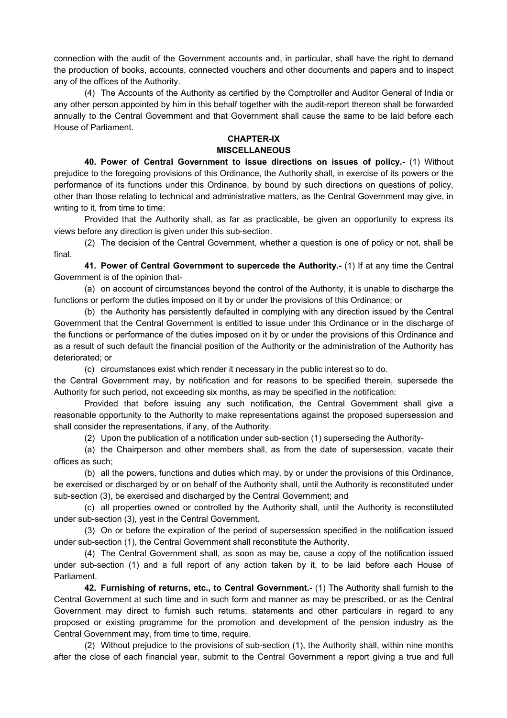connection with the audit of the Government accounts and, in particular, shall have the right to demand the production of books, accounts, connected vouchers and other documents and papers and to inspect any of the offices of the Authority.

(4) The Accounts of the Authority as certified by the Comptroller and Auditor General of India or any other person appointed by him in this behalf together with the audit-report thereon shall be forwarded annually to the Central Government and that Government shall cause the same to be laid before each House of Parliament.

# **CHAPTER-IX MISCELLANEOUS**

**40. Power of Central Government to issue directions on issues of policy.-** (1) Without prejudice to the foregoing provisions of this Ordinance, the Authority shall, in exercise of its powers or the performance of its functions under this Ordinance, by bound by such directions on questions of policy, other than those relating to technical and administrative matters, as the Central Government may give, in writing to it, from time to time:

Provided that the Authority shall, as far as practicable, be given an opportunity to express its views before any direction is given under this sub-section.

(2) The decision of the Central Government, whether a question is one of policy or not, shall be final.

**41. Power of Central Government to supercede the Authority.-** (1) If at any time the Central Government is of the opinion that-

(a) on account of circumstances beyond the control of the Authority, it is unable to discharge the functions or perform the duties imposed on it by or under the provisions of this Ordinance; or

(b) the Authority has persistently defaulted in complying with any direction issued by the Central Government that the Central Government is entitled to issue under this Ordinance or in the discharge of the functions or performance of the duties imposed on it by or under the provisions of this Ordinance and as a result of such default the financial position of the Authority or the administration of the Authority has deteriorated; or

(c) circumstances exist which render it necessary in the public interest so to do.

the Central Government may, by notification and for reasons to be specified therein, supersede the Authority for such period, not exceeding six months, as may be specified in the notification:

Provided that before issuing any such notification, the Central Government shall give a reasonable opportunity to the Authority to make representations against the proposed supersession and shall consider the representations, if any, of the Authority.

(2) Upon the publication of a notification under sub-section (1) superseding the Authority-

(a) the Chairperson and other members shall, as from the date of supersession, vacate their offices as such;

(b) all the powers, functions and duties which may, by or under the provisions of this Ordinance, be exercised or discharged by or on behalf of the Authority shall, until the Authority is reconstituted under sub-section (3), be exercised and discharged by the Central Government; and

(c) all properties owned or controlled by the Authority shall, until the Authority is reconstituted under sub-section (3), yest in the Central Government.

(3) On or before the expiration of the period of supersession specified in the notification issued under sub-section (1), the Central Government shall reconstitute the Authority.

(4) The Central Government shall, as soon as may be, cause a copy of the notification issued under sub-section (1) and a full report of any action taken by it, to be laid before each House of Parliament.

**42. Furnishing of returns, etc., to Central Government.-** (1) The Authority shall furnish to the Central Government at such time and in such form and manner as may be prescribed, or as the Central Government may direct to furnish such returns, statements and other particulars in regard to any proposed or existing programme for the promotion and development of the pension industry as the Central Government may, from time to time, require.

(2) Without prejudice to the provisions of sub-section (1), the Authority shall, within nine months after the close of each financial year, submit to the Central Government a report giving a true and full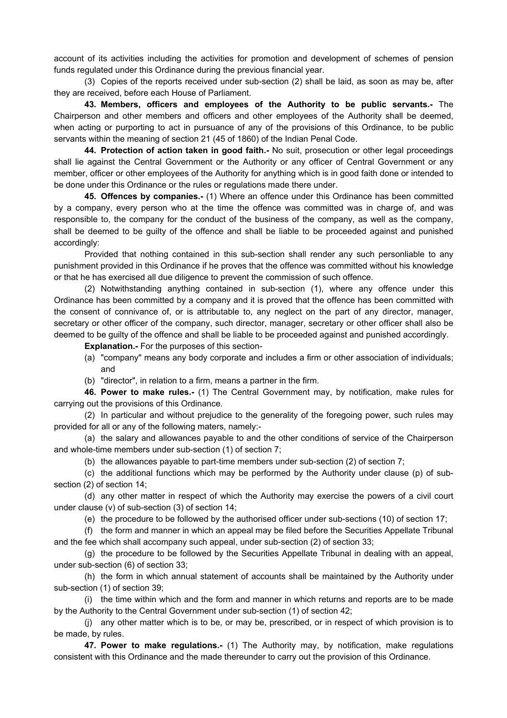account of its activities including the activities for promotion and development of schemes of pension funds regulated under this Ordinance during the previous financial year.

(3) Copies of the reports received under sub-section (2) shall be laid, as soon as may be, after they are received, before each House of Parliament.

**43. Members, officers and employees of the Authority to be public servants.-** The Chairperson and other members and officers and other employees of the Authority shall be deemed, when acting or purporting to act in pursuance of any of the provisions of this Ordinance, to be public servants within the meaning of section 21 (45 of 1860) of the Indian Penal Code.

**44. Protection of action taken in good faith.-** No suit, prosecution or other legal proceedings shall lie against the Central Government or the Authority or any officer of Central Government or any member, officer or other employees of the Authority for anything which is in good faith done or intended to be done under this Ordinance or the rules or regulations made there under.

**45. Offences by companies.-** (1) Where an offence under this Ordinance has been committed by a company, every person who at the time the offence was committed was in charge of, and was responsible to, the company for the conduct of the business of the company, as well as the company, shall be deemed to be guilty of the offence and shall be liable to be proceeded against and punished accordingly:

Provided that nothing contained in this sub-section shall render any such personliable to any punishment provided in this Ordinance if he proves that the offence was committed without his knowledge or that he has exercised all due diligence to prevent the commission of such offence.

(2) Notwithstanding anything contained in sub-section (1), where any offence under this Ordinance has been committed by a company and it is proved that the offence has been committed with the consent of connivance of, or is attributable to, any neglect on the part of any director, manager, secretary or other officer of the company, such director, manager, secretary or other officer shall also be deemed to be guilty of the offence and shall be liable to be proceeded against and punished accordingly.

**Explanation.-** For the purposes of this section-

- (a) "company" means any body corporate and includes a firm or other association of individuals; and
- (b) "director", in relation to a firm, means a partner in the firm.

**46. Power to make rules.-** (1) The Central Government may, by notification, make rules for carrying out the provisions of this Ordinance.

(2) In particular and without prejudice to the generality of the foregoing power, such rules may provided for all or any of the following maters, namely:-

(a) the salary and allowances payable to and the other conditions of service of the Chairperson and whole-time members under sub-section (1) of section 7;

(b) the allowances payable to part-time members under sub-section (2) of section 7;

(c) the additional functions which may be performed by the Authority under clause (p) of subsection (2) of section 14;

(d) any other matter in respect of which the Authority may exercise the powers of a civil court under clause (v) of sub-section (3) of section 14;

(e) the procedure to be followed by the authorised officer under sub-sections (10) of section 17;

(f) the form and manner in which an appeal may be filed before the Securities Appellate Tribunal and the fee which shall accompany such appeal, under sub-section (2) of section 33;

(g) the procedure to be followed by the Securities Appellate Tribunal in dealing with an appeal, under sub-section (6) of section 33;

(h) the form in which annual statement of accounts shall be maintained by the Authority under sub-section (1) of section 39;

(i) the time within which and the form and manner in which returns and reports are to be made by the Authority to the Central Government under sub-section (1) of section 42;

(j) any other matter which is to be, or may be, prescribed, or in respect of which provision is to be made, by rules.

**47. Power to make regulations.-** (1) The Authority may, by notification, make regulations consistent with this Ordinance and the made thereunder to carry out the provision of this Ordinance.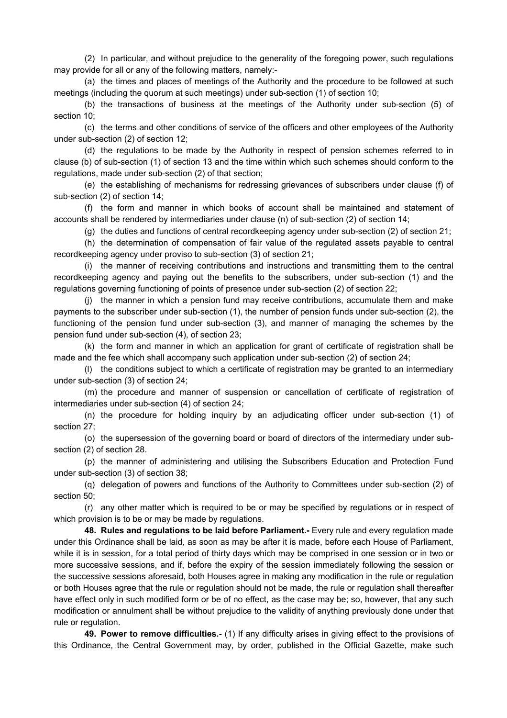(2) In particular, and without prejudice to the generality of the foregoing power, such regulations may provide for all or any of the following matters, namely:-

(a) the times and places of meetings of the Authority and the procedure to be followed at such meetings (including the quorum at such meetings) under sub-section (1) of section 10;

(b) the transactions of business at the meetings of the Authority under sub-section (5) of section 10;

(c) the terms and other conditions of service of the officers and other employees of the Authority under sub-section (2) of section 12;

(d) the regulations to be made by the Authority in respect of pension schemes referred to in clause (b) of sub-section (1) of section 13 and the time within which such schemes should conform to the regulations, made under sub-section (2) of that section;

(e) the establishing of mechanisms for redressing grievances of subscribers under clause (f) of sub-section (2) of section 14;

(f) the form and manner in which books of account shall be maintained and statement of accounts shall be rendered by intermediaries under clause (n) of sub-section (2) of section 14;

(g) the duties and functions of central recordkeeping agency under sub-section (2) of section 21;

(h) the determination of compensation of fair value of the regulated assets payable to central recordkeeping agency under proviso to sub-section (3) of section 21;

(i) the manner of receiving contributions and instructions and transmitting them to the central recordkeeping agency and paying out the benefits to the subscribers, under sub-section (1) and the regulations governing functioning of points of presence under sub-section (2) of section 22;

(j) the manner in which a pension fund may receive contributions, accumulate them and make payments to the subscriber under sub-section (1), the number of pension funds under sub-section (2), the functioning of the pension fund under sub-section (3), and manner of managing the schemes by the pension fund under sub-section (4), of section 23;

(k) the form and manner in which an application for grant of certificate of registration shall be made and the fee which shall accompany such application under sub-section (2) of section 24;

(l) the conditions subject to which a certificate of registration may be granted to an intermediary under sub-section (3) of section 24;

(m) the procedure and manner of suspension or cancellation of certificate of registration of intermediaries under sub-section (4) of section 24;

(n) the procedure for holding inquiry by an adjudicating officer under sub-section (1) of section 27;

(o) the supersession of the governing board or board of directors of the intermediary under subsection (2) of section 28.

(p) the manner of administering and utilising the Subscribers Education and Protection Fund under sub-section (3) of section 38;

(q) delegation of powers and functions of the Authority to Committees under sub-section (2) of section 50;

(r) any other matter which is required to be or may be specified by regulations or in respect of which provision is to be or may be made by regulations.

**48. Rules and regulations to be laid before Parliament.-** Every rule and every regulation made under this Ordinance shall be laid, as soon as may be after it is made, before each House of Parliament, while it is in session, for a total period of thirty days which may be comprised in one session or in two or more successive sessions, and if, before the expiry of the session immediately following the session or the successive sessions aforesaid, both Houses agree in making any modification in the rule or regulation or both Houses agree that the rule or regulation should not be made, the rule or regulation shall thereafter have effect only in such modified form or be of no effect, as the case may be; so, however, that any such modification or annulment shall be without prejudice to the validity of anything previously done under that rule or regulation.

**49. Power to remove difficulties.-** (1) If any difficulty arises in giving effect to the provisions of this Ordinance, the Central Government may, by order, published in the Official Gazette, make such